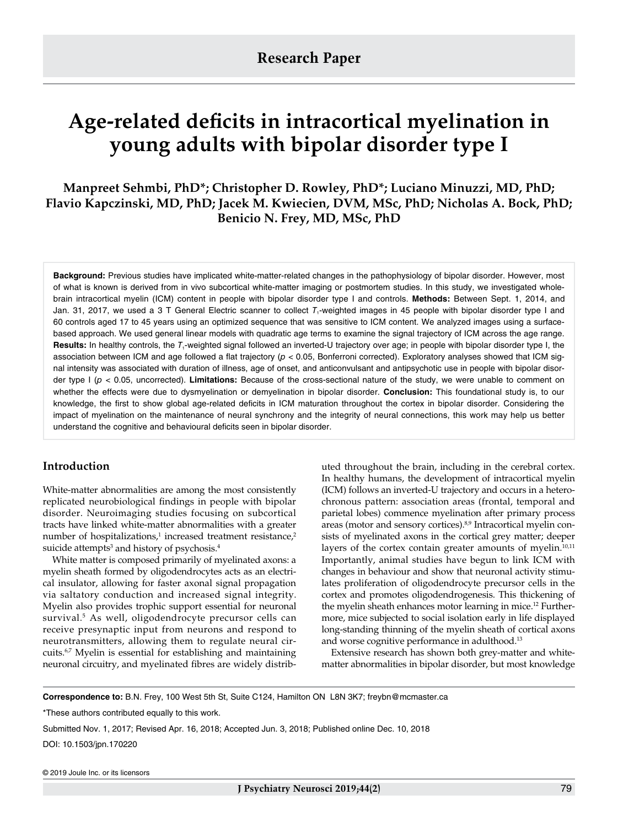# **Age-related deficits in intracortical myelination in young adults with bipolar disorder type I**

**Manpreet Sehmbi, PhD\*; Christopher D. Rowley, PhD\*; Luciano Minuzzi, MD, PhD; Flavio Kapczinski, MD, PhD; Jacek M. Kwiecien, DVM, MSc, PhD; Nicholas A. Bock, PhD; Benicio N. Frey, MD, MSc, PhD** 

**Background:** Previous studies have implicated white-matter-related changes in the pathophysiology of bipolar disorder. However, most of what is known is derived from in vivo subcortical white-matter imaging or postmortem studies. In this study, we investigated wholebrain intracortical myelin (ICM) content in people with bipolar disorder type I and controls. **Methods:** Between Sept. 1, 2014, and Jan. 31, 2017, we used a 3 T General Electric scanner to collect T<sub>1</sub>-weighted images in 45 people with bipolar disorder type I and 60 controls aged 17 to 45 years using an optimized sequence that was sensitive to ICM content. We analyzed images using a surfacebased approach. We used general linear models with quadratic age terms to examine the signal trajectory of ICM across the age range. Results: In healthy controls, the T<sub>1</sub>-weighted signal followed an inverted-U trajectory over age; in people with bipolar disorder type I, the association between ICM and age followed a flat trajectory (*p* < 0.05, Bonferroni corrected). Exploratory analyses showed that ICM signal intensity was associated with duration of illness, age of onset, and anticonvulsant and antipsychotic use in people with bipolar disorder type I (*p* < 0.05, uncorrected). **Limitations:** Because of the cross-sectional nature of the study, we were unable to comment on whether the effects were due to dysmyelination or demyelination in bipolar disorder. **Conclusion:** This foundational study is, to our knowledge, the first to show global age-related deficits in ICM maturation throughout the cortex in bipolar disorder. Considering the impact of myelination on the maintenance of neural synchrony and the integrity of neural connections, this work may help us better understand the cognitive and behavioural deficits seen in bipolar disorder.

# **Introduction**

White-matter abnormalities are among the most consistently replicated neurobiological findings in people with bipolar disorder. Neuroimaging studies focusing on subcortical tracts have linked white-matter abnormalities with a greater number of hospitalizations,<sup>1</sup> increased treatment resistance,<sup>2</sup> suicide attempts<sup>3</sup> and history of psychosis.<sup>4</sup>

White matter is composed primarily of myelinated axons: a myelin sheath formed by oligodendrocytes acts as an electrical insulator, allowing for faster axonal signal propagation via saltatory conduction and increased signal integrity. Myelin also provides trophic support essential for neuronal survival.5 As well, oligodendrocyte precursor cells can receive presynaptic input from neurons and respond to neurotransmitters, allowing them to regulate neural circuits.6,7 Myelin is essential for establishing and maintaining neuronal circuitry, and myelinated fibres are widely distributed throughout the brain, including in the cerebral cortex. In healthy humans, the development of intracortical myelin (ICM) follows an inverted-U trajectory and occurs in a heterochronous pattern: association areas (frontal, temporal and parietal lobes) commence myelination after primary process areas (motor and sensory cortices).<sup>8,9</sup> Intracortical myelin consists of myelinated axons in the cortical grey matter; deeper layers of the cortex contain greater amounts of myelin.<sup>10,11</sup> Importantly, animal studies have begun to link ICM with changes in behaviour and show that neuronal activity stimulates proliferation of oligodendrocyte precursor cells in the cortex and promotes oligodendrogenesis. This thickening of the myelin sheath enhances motor learning in mice.<sup>12</sup> Furthermore, mice subjected to social isolation early in life displayed long-standing thinning of the myelin sheath of cortical axons and worse cognitive performance in adulthood.<sup>13</sup>

Extensive research has shown both grey-matter and whitematter abnormalities in bipolar disorder, but most knowledge

**Correspondence to:** B.N. Frey, 100 West 5th St, Suite C124, Hamilton ON L8N 3K7; freybn@mcmaster.ca

\*These authors contributed equally to this work.

Submitted Nov. 1, 2017; Revised Apr. 16, 2018; Accepted Jun. 3, 2018; Published online Dec. 10, 2018

DOI: 10.1503/jpn.170220

© 2019 Joule Inc. or its licensors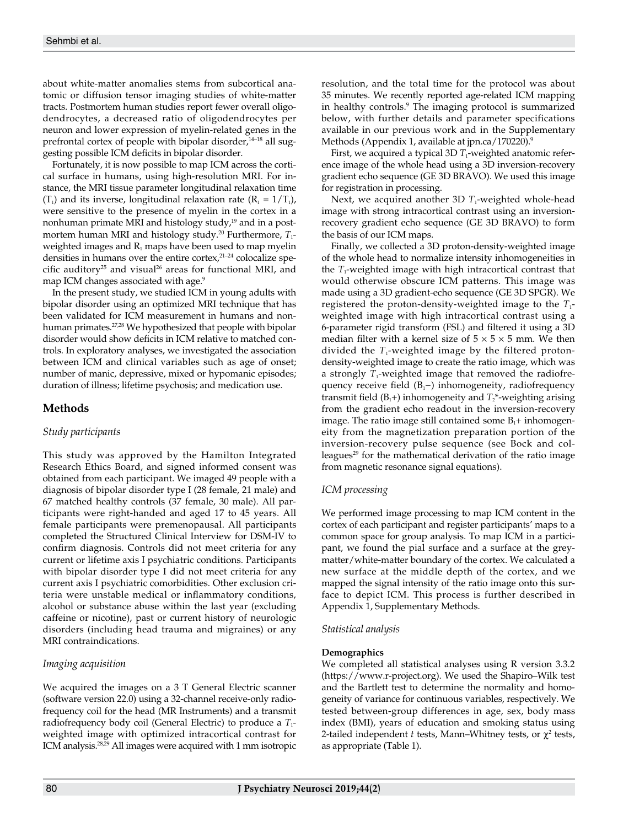about white-matter anomalies stems from subcortical anatomic or diffusion tensor imaging studies of white-matter tracts. Postmortem human studies report fewer overall oligodendrocytes, a decreased ratio of oligodendrocytes per neuron and lower expression of myelin-related genes in the prefrontal cortex of people with bipolar disorder,<sup>14–18</sup> all suggesting possible ICM deficits in bipolar disorder.

Fortunately, it is now possible to map ICM across the cortical surface in humans, using high-resolution MRI. For instance, the MRI tissue parameter longitudinal relaxation time  $(T_1)$  and its inverse, longitudinal relaxation rate  $(R_1 = 1/T_1)$ , were sensitive to the presence of myelin in the cortex in a nonhuman primate MRI and histology study, $19$  and in a postmortem human MRI and histology study.<sup>20</sup> Furthermore, *T*<sub>1</sub>weighted images and  $R_1$  maps have been used to map myelin densities in humans over the entire cortex, $2^{1-24}$  colocalize specific auditory<sup>25</sup> and visual<sup>26</sup> areas for functional MRI, and map ICM changes associated with age.<sup>9</sup>

In the present study, we studied ICM in young adults with bipolar disorder using an optimized MRI technique that has been validated for ICM measurement in humans and nonhuman primates.27,28 We hypothesized that people with bipolar disorder would show deficits in ICM relative to matched controls. In exploratory analyses, we investigated the association between ICM and clinical variables such as age of onset; number of manic, depressive, mixed or hypomanic episodes; duration of illness; lifetime psychosis; and medication use.

# **Methods**

# *Study participants*

This study was approved by the Hamilton Integrated Research Ethics Board, and signed informed consent was obtained from each participant. We imaged 49 people with a diagnosis of bipolar disorder type I (28 female, 21 male) and 67 matched healthy controls (37 female, 30 male). All participants were right-handed and aged 17 to 45 years. All female participants were premenopausal. All participants completed the Structured Clinical Interview for DSM-IV to confirm diagnosis. Controls did not meet criteria for any current or lifetime axis I psychiatric conditions. Participants with bipolar disorder type I did not meet criteria for any current axis I psychiatric comorbidities. Other exclusion criteria were unstable medical or inflammatory conditions, alcohol or substance abuse within the last year (excluding caffeine or nicotine), past or current history of neurologic disorders (including head trauma and migraines) or any MRI contraindications.

# *Imaging acquisition*

We acquired the images on a 3 T General Electric scanner (software version 22.0) using a 32-channel receive-only radiofrequency coil for the head (MR Instruments) and a transmit radiofrequency body coil (General Electric) to produce a  $T_1$ weighted image with optimized intracortical contrast for ICM analysis.28,29 All images were acquired with 1 mm isotropic

resolution, and the total time for the protocol was about 35 minutes. We recently reported age-related ICM mapping in healthy controls.9 The imaging protocol is summarized below, with further details and parameter specifications available in our previous work and in the Supplementary Methods (Appendix 1, available at jpn.ca/170220).<sup>9</sup>

First, we acquired a typical 3D *T*<sub>1</sub>-weighted anatomic reference image of the whole head using a 3D inversion-recovery gradient echo sequence (GE 3D BRAVO). We used this image for registration in processing.

Next, we acquired another 3D  $T_1$ -weighted whole-head image with strong intracortical contrast using an inversionrecovery gradient echo sequence (GE 3D BRAVO) to form the basis of our ICM maps.

Finally, we collected a 3D proton-density-weighted image of the whole head to normalize intensity inhomogeneities in the  $T_1$ -weighted image with high intracortical contrast that would otherwise obscure ICM patterns. This image was made using a 3D gradient-echo sequence (GE 3D SPGR). We registered the proton-density-weighted image to the  $T_1$ weighted image with high intracortical contrast using a 6-parameter rigid transform (FSL) and filtered it using a 3D median filter with a kernel size of  $5 \times 5 \times 5$  mm. We then divided the  $T_1$ -weighted image by the filtered protondensity-weighted image to create the ratio image, which was a strongly  $T_1$ -weighted image that removed the radiofrequency receive field (B<sub>1</sub>−) inhomogeneity, radiofrequency transmit field  $(B_1+)$  inhomogeneity and  $T_2^*$ -weighting arising from the gradient echo readout in the inversion-recovery image. The ratio image still contained some  $B_1$ + inhomogeneity from the magnetization preparation portion of the inversion-recovery pulse sequence (see Bock and colleagues<sup>29</sup> for the mathematical derivation of the ratio image from magnetic resonance signal equations).

# *ICM processing*

We performed image processing to map ICM content in the cortex of each participant and register participants' maps to a common space for group analysis. To map ICM in a participant, we found the pial surface and a surface at the greymatter/white-matter boundary of the cortex. We calculated a new surface at the middle depth of the cortex, and we mapped the signal intensity of the ratio image onto this surface to depict ICM. This process is further described in Appendix 1, Supplementary Methods.

## *Statistical analysis*

## **Demographics**

We completed all statistical analyses using R version 3.3.2 (https://www.r-project.org). We used the Shapiro–Wilk test and the Bartlett test to determine the normality and homogeneity of variance for continuous variables, respectively. We tested between-group differences in age, sex, body mass index (BMI), years of education and smoking status using 2-tailed independent *t* tests, Mann–Whitney tests, or  $\chi^2$  tests, as appropriate (Table 1).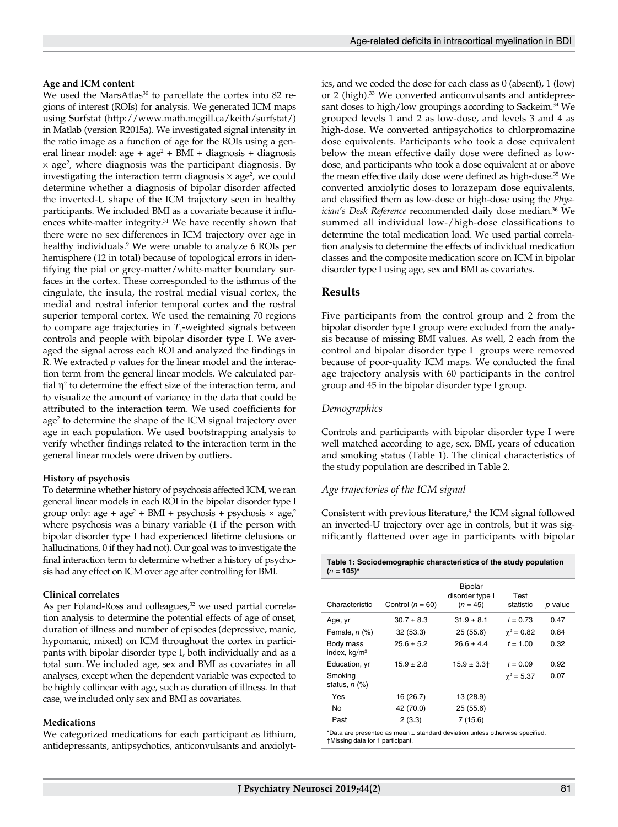## **Age and ICM content**

We used the MarsAtlas<sup>30</sup> to parcellate the cortex into 82 regions of interest (ROIs) for analysis. We generated ICM maps using Surfstat (http://www.math.mcgill.ca/keith/surfstat/) in Matlab (version R2015a). We investigated signal intensity in the ratio image as a function of age for the ROIs using a general linear model:  $age + age^2 + BMI + diagnosis + diagnosis$  $\times$  age<sup>2</sup>, where diagnosis was the participant diagnosis. By investigating the interaction term diagnosis  $\times$  age<sup>2</sup>, we could determine whether a diagnosis of bipolar disorder affected the inverted-U shape of the ICM trajectory seen in healthy participants. We included BMI as a covariate because it influences white-matter integrity.<sup>31</sup> We have recently shown that there were no sex differences in ICM trajectory over age in healthy individuals.9 We were unable to analyze 6 ROIs per hemisphere (12 in total) because of topological errors in identifying the pial or grey-matter/white-matter boundary surfaces in the cortex. These corresponded to the isthmus of the cingulate, the insula, the rostral medial visual cortex, the medial and rostral inferior temporal cortex and the rostral superior temporal cortex. We used the remaining 70 regions to compare age trajectories in  $T_1$ -weighted signals between controls and people with bipolar disorder type I. We averaged the signal across each ROI and analyzed the findings in R. We extracted *p* values for the linear model and the interaction term from the general linear models. We calculated partial  $\eta^2$  to determine the effect size of the interaction term, and to visualize the amount of variance in the data that could be attributed to the interaction term. We used coefficients for age2 to determine the shape of the ICM signal trajectory over age in each population. We used bootstrapping analysis to verify whether findings related to the interaction term in the general linear models were driven by outliers.

## **History of psychosis**

To determine whether history of psychosis affected ICM, we ran general linear models in each ROI in the bipolar disorder type I group only:  $age + age^2 + BMI + psychosis + psychosis \times age^2$ where psychosis was a binary variable (1 if the person with bipolar disorder type I had experienced lifetime delusions or hallucinations, 0 if they had not). Our goal was to investigate the final interaction term to determine whether a history of psychosis had any effect on ICM over age after controlling for BMI.

#### **Clinical correlates**

As per Foland-Ross and colleagues,<sup>32</sup> we used partial correlation analysis to determine the potential effects of age of onset, duration of illness and number of episodes (depressive, manic, hypomanic, mixed) on ICM throughout the cortex in participants with bipolar disorder type I, both individually and as a total sum. We included age, sex and BMI as covariates in all analyses, except when the dependent variable was expected to be highly collinear with age, such as duration of illness. In that case, we included only sex and BMI as covariates.

#### **Medications**

We categorized medications for each participant as lithium, antidepressants, antipsychotics, anticonvulsants and anxiolytics, and we coded the dose for each class as 0 (absent), 1 (low) or 2 (high).<sup>33</sup> We converted anticonvulsants and antidepressant doses to high/low groupings according to Sackeim.<sup>34</sup> We grouped levels 1 and 2 as low-dose, and levels 3 and 4 as high-dose. We converted antipsychotics to chlorpromazine dose equivalents. Participants who took a dose equivalent below the mean effective daily dose were defined as lowdose, and participants who took a dose equivalent at or above the mean effective daily dose were defined as high-dose.<sup>35</sup> We converted anxiolytic doses to lorazepam dose equivalents, and classified them as low-dose or high-dose using the *Physician's Desk Reference* recommended daily dose median.<sup>36</sup> We summed all individual low-/high-dose classifications to determine the total medication load. We used partial correlation analysis to determine the effects of individual medication classes and the composite medication score on ICM in bipolar disorder type I using age, sex and BMI as covariates.

# **Results**

Five participants from the control group and 2 from the bipolar disorder type I group were excluded from the analysis because of missing BMI values. As well, 2 each from the control and bipolar disorder type I groups were removed because of poor-quality ICM maps. We conducted the final age trajectory analysis with 60 participants in the control group and 45 in the bipolar disorder type I group.

## *Demographics*

Controls and participants with bipolar disorder type I were well matched according to age, sex, BMI, years of education and smoking status (Table 1). The clinical characteristics of the study population are described in Table 2.

## *Age trajectories of the ICM signal*

Consistent with previous literature,<sup>9</sup> the ICM signal followed an inverted-U trajectory over age in controls, but it was significantly flattened over age in participants with bipolar

| Table 1: Sociodemographic characteristics of the study population |  |
|-------------------------------------------------------------------|--|
| $(n = 105)^{*}$                                                   |  |

| Characteristic                | Control $(n = 60)$ | Bipolar<br>disorder type I<br>$(n = 45)$ | Test<br>statistic | p value |
|-------------------------------|--------------------|------------------------------------------|-------------------|---------|
| Age, yr                       | $30.7 \pm 8.3$     | $31.9 \pm 8.1$                           | $t = 0.73$        | 0.47    |
| Female, $n$ $(\%)$            | 32(53.3)           | 25(55.6)                                 | $\gamma^2 = 0.82$ | 0.84    |
| Body mass<br>index, $kq/m^2$  | $25.6 \pm 5.2$     | $26.6 \pm 4.4$                           | $t = 1.00$        | 0.32    |
| Education, yr                 | $15.9 \pm 2.8$     | $15.9 \pm 3.3$                           | $t = 0.09$        | 0.92    |
| Smoking<br>status, $n$ $(\%)$ |                    |                                          | $\gamma^2 = 5.37$ | 0.07    |
| Yes                           | 16 (26.7)          | 13 (28.9)                                |                   |         |
| <b>No</b>                     | 42 (70.0)          | 25(55.6)                                 |                   |         |
| Past                          | 2(3.3)             | 7(15.6)                                  |                   |         |
|                               |                    |                                          |                   |         |

\*Data are presented as mean ± standard deviation unless otherwise specified. †Missing data for 1 participant.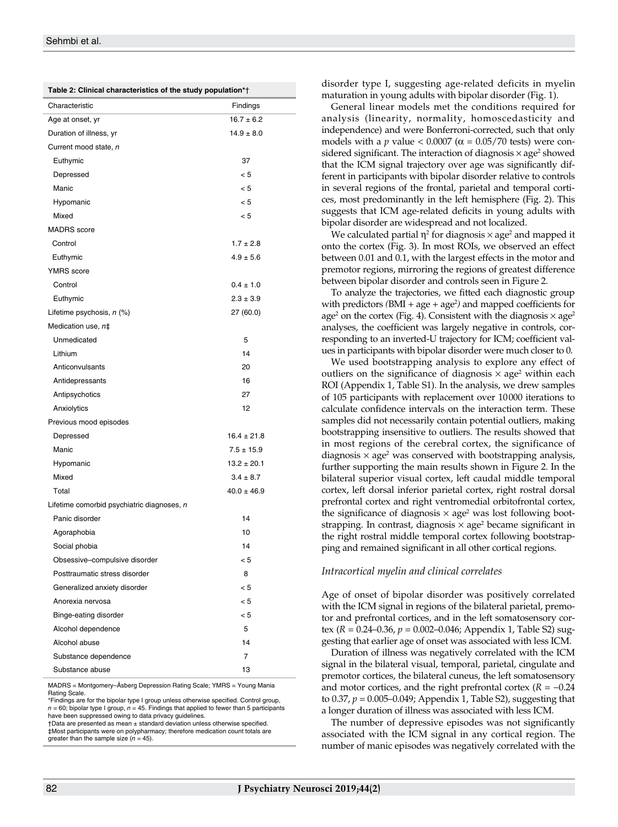| Table 2: Clinical characteristics of the study population*† |
|-------------------------------------------------------------|
|-------------------------------------------------------------|

| $\frac{1}{2}$ characteristics of the study population $\frac{1}{2}$ |                 |
|---------------------------------------------------------------------|-----------------|
| Characteristic                                                      | Findings        |
| Age at onset, yr                                                    | $16.7 \pm 6.2$  |
| Duration of illness, yr                                             | $14.9 \pm 8.0$  |
| Current mood state, n                                               |                 |
| Euthymic                                                            | 37              |
| Depressed                                                           | < 5             |
| Manic                                                               | < 5             |
| Hypomanic                                                           | < 5             |
| Mixed                                                               | < 5             |
| <b>MADRS</b> score                                                  |                 |
| Control                                                             | $1.7 \pm 2.8$   |
| Euthymic                                                            | $4.9 \pm 5.6$   |
| <b>YMRS</b> score                                                   |                 |
| Control                                                             | $0.4 \pm 1.0$   |
| Euthymic                                                            | $2.3 \pm 3.9$   |
| Lifetime psychosis, n (%)                                           | 27 (60.0)       |
| Medication use, n‡                                                  |                 |
| Unmedicated                                                         | 5               |
| Lithium                                                             | 14              |
| Anticonvulsants                                                     | 20              |
| Antidepressants                                                     | 16              |
| Antipsychotics                                                      | 27              |
| Anxiolytics                                                         | 12              |
| Previous mood episodes                                              |                 |
| Depressed                                                           | $16.4 \pm 21.8$ |
| Manic                                                               | $7.5 \pm 15.9$  |
| Hypomanic                                                           | $13.2 \pm 20.1$ |
| Mixed                                                               | $3.4 \pm 8.7$   |
| Total                                                               | $40.0 \pm 46.9$ |
| Lifetime comorbid psychiatric diagnoses, n                          |                 |
| Panic disorder                                                      | 14              |
| Agoraphobia                                                         | 10              |
| Social phobia                                                       | 14              |
| Obsessive-compulsive disorder                                       | < 5             |
| Posttraumatic stress disorder                                       | 8               |
| Generalized anxiety disorder                                        | < 5             |
| Anorexia nervosa                                                    | < 5             |
| Binge-eating disorder                                               | < 5             |
| Alcohol dependence                                                  | 5               |
| Alcohol abuse                                                       | 14              |
| Substance dependence                                                | 7               |
| Substance abuse                                                     | 13              |

MADRS = Montgomery–Åsberg Depression Rating Scale; YMRS = Young Mania Rating Scale.

\*Findings are for the bipolar type I group unless otherwise specified. Control group,  $n = 60$ ; bipolar type I group,  $n = 45$ . Findings that applied to fewer than 5 participants have been suppressed owing to data privacy guidelines.

†Data are presented as mean ± standard deviation unless otherwise specified. ‡Most participants were on polypharmacy; therefore medication count totals are greater than the sample size (*n* = 45). disorder type I, suggesting age-related deficits in myelin maturation in young adults with bipolar disorder (Fig. 1).

General linear models met the conditions required for analysis (linearity, normality, homoscedasticity and independence) and were Bonferroni-corrected, such that only models with a *p* value <  $0.0007$  ( $\alpha$  =  $0.05/70$  tests) were considered significant. The interaction of diagnosis  $\times$  age<sup>2</sup> showed that the ICM signal trajectory over age was significantly different in participants with bipolar disorder relative to controls in several regions of the frontal, parietal and temporal cortices, most predominantly in the left hemisphere (Fig. 2). This suggests that ICM age-related deficits in young adults with bipolar disorder are widespread and not localized.

We calculated partial  $\eta^2$  for diagnosis  $\times$  age<sup>2</sup> and mapped it onto the cortex (Fig. 3). In most ROIs, we observed an effect between 0.01 and 0.1, with the largest effects in the motor and premotor regions, mirroring the regions of greatest difference between bipolar disorder and controls seen in Figure 2.

To analyze the trajectories, we fitted each diagnostic group with predictors (BMI + age + age<sup>2</sup>) and mapped coefficients for age<sup>2</sup> on the cortex (Fig. 4). Consistent with the diagnosis  $\times$  age<sup>2</sup> analyses, the coefficient was largely negative in controls, corresponding to an inverted-U trajectory for ICM; coefficient values in participants with bipolar disorder were much closer to 0.

We used bootstrapping analysis to explore any effect of outliers on the significance of diagnosis  $\times$  age<sup>2</sup> within each ROI (Appendix 1, Table S1). In the analysis, we drew samples of 105 participants with replacement over 10000 iterations to calculate confidence intervals on the interaction term. These samples did not necessarily contain potential outliers, making bootstrapping insensitive to outliers. The results showed that in most regions of the cerebral cortex, the significance of diagnosis  $\times$  age<sup>2</sup> was conserved with bootstrapping analysis, further supporting the main results shown in Figure 2. In the bilateral superior visual cortex, left caudal middle temporal cortex, left dorsal inferior parietal cortex, right rostral dorsal prefrontal cortex and right ventromedial orbitofrontal cortex, the significance of diagnosis  $\times$  age<sup>2</sup> was lost following bootstrapping. In contrast, diagnosis  $\times$  age<sup>2</sup> became significant in the right rostral middle temporal cortex following bootstrapping and remained significant in all other cortical regions.

#### *Intracortical myelin and clinical correlates*

Age of onset of bipolar disorder was positively correlated with the ICM signal in regions of the bilateral parietal, premotor and prefrontal cortices, and in the left somatosensory cortex (*R* = 0.24–0.36, *p* = 0.002–0.046; Appendix 1, Table S2) suggesting that earlier age of onset was associated with less ICM.

Duration of illness was negatively correlated with the ICM signal in the bilateral visual, temporal, parietal, cingulate and premotor cortices, the bilateral cuneus, the left somatosensory and motor cortices, and the right prefrontal cortex  $(R = -0.24)$ to 0.37, *p* = 0.005–0.049; Appendix 1, Table S2), suggesting that a longer duration of illness was associated with less ICM.

The number of depressive episodes was not significantly associated with the ICM signal in any cortical region. The number of manic episodes was negatively correlated with the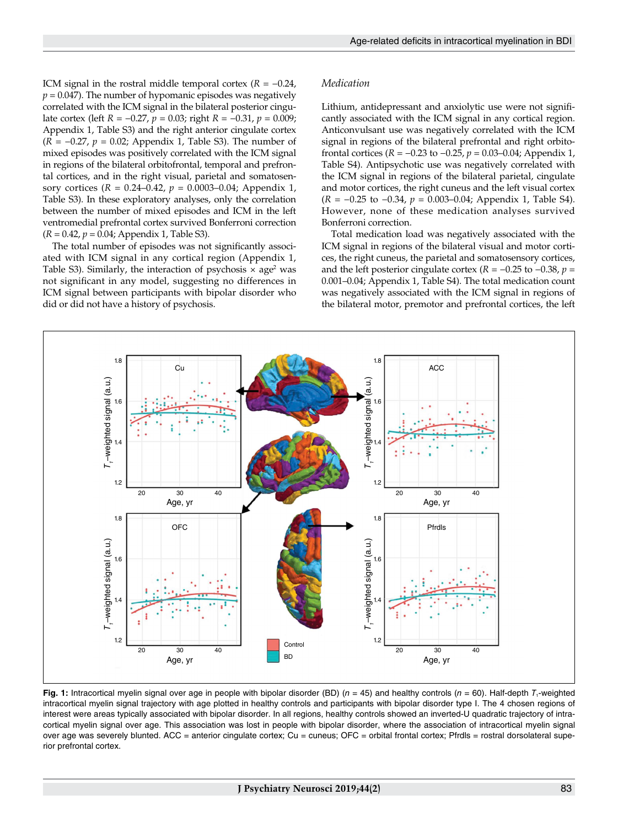ICM signal in the rostral middle temporal cortex  $(R = -0.24,$  $p = 0.047$ ). The number of hypomanic episodes was negatively correlated with the ICM signal in the bilateral posterior cingulate cortex (left *R* = −0.27, *p* = 0.03; right *R* = −0.31, *p* = 0.009; Appendix 1, Table S3) and the right anterior cingulate cortex (*R* = −0.27, *p* = 0.02; Appendix 1, Table S3). The number of mixed episodes was positively correlated with the ICM signal in regions of the bilateral orbitofrontal, temporal and prefrontal cortices, and in the right visual, parietal and somatosensory cortices (*R* = 0.24–0.42, *p* = 0.0003–0.04; Appendix 1, Table S3). In these exploratory analyses, only the correlation between the number of mixed episodes and ICM in the left ventromedial prefrontal cortex survived Bonferroni correction (*R* = 0.42, *p* = 0.04; Appendix 1, Table S3).

The total number of episodes was not significantly associated with ICM signal in any cortical region (Appendix 1, Table S3). Similarly, the interaction of psychosis  $\times$  age<sup>2</sup> was not significant in any model, suggesting no differences in ICM signal between participants with bipolar disorder who did or did not have a history of psychosis.

## *Medication*

Lithium, antidepressant and anxiolytic use were not significantly associated with the ICM signal in any cortical region. Anticonvulsant use was negatively correlated with the ICM signal in regions of the bilateral prefrontal and right orbitofrontal cortices (*R* = −0.23 to −0.25, *p* = 0.03–0.04; Appendix 1, Table S4). Antipsychotic use was negatively correlated with the ICM signal in regions of the bilateral parietal, cingulate and motor cortices, the right cuneus and the left visual cortex (*R* = −0.25 to −0.34, *p* = 0.003–0.04; Appendix 1, Table S4). However, none of these medication analyses survived Bonferroni correction.

Total medication load was negatively associated with the ICM signal in regions of the bilateral visual and motor cortices, the right cuneus, the parietal and somatosensory cortices, and the left posterior cingulate cortex ( $R = -0.25$  to  $-0.38$ ,  $p =$ 0.001–0.04; Appendix 1, Table S4). The total medication count was negatively associated with the ICM signal in regions of the bilateral motor, premotor and prefrontal cortices, the left



**Fig. 1:** Intracortical myelin signal over age in people with bipolar disorder (BD) (*n* = 45) and healthy controls (*n* = 60). Half-depth *T*<sub>1</sub>-weighted intracortical myelin signal trajectory with age plotted in healthy controls and participants with bipolar disorder type I. The 4 chosen regions of interest were areas typically associated with bipolar disorder. In all regions, healthy controls showed an inverted-U quadratic trajectory of intracortical myelin signal over age. This association was lost in people with bipolar disorder, where the association of intracortical myelin signal over age was severely blunted. ACC = anterior cingulate cortex; Cu = cuneus; OFC = orbital frontal cortex; Pfrdls = rostral dorsolateral superior prefrontal cortex.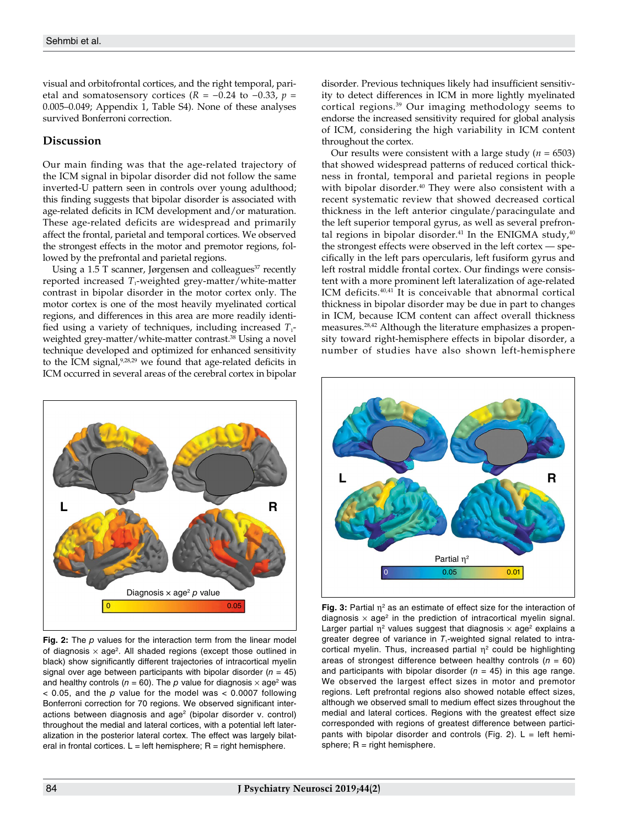visual and orbitofrontal cortices, and the right temporal, parietal and somatosensory cortices ( $R = -0.24$  to  $-0.33$ ,  $p =$ 0.005–0.049; Appendix 1, Table S4). None of these analyses survived Bonferroni correction.

# **Discussion**

Our main finding was that the age-related trajectory of the ICM signal in bipolar disorder did not follow the same inverted-U pattern seen in controls over young adulthood; this finding suggests that bipolar disorder is associated with age-related deficits in ICM development and/or maturation. These age-related deficits are widespread and primarily affect the frontal, parietal and temporal cortices. We observed the strongest effects in the motor and premotor regions, followed by the prefrontal and parietal regions.

Using a 1.5 T scanner, Jørgensen and colleagues $37$  recently reported increased *T*<sub>1</sub>-weighted grey-matter/white-matter contrast in bipolar disorder in the motor cortex only. The motor cortex is one of the most heavily myelinated cortical regions, and differences in this area are more readily identified using a variety of techniques, including increased  $T_1$ weighted grey-matter/white-matter contrast.<sup>38</sup> Using a novel technique developed and optimized for enhanced sensitivity to the ICM signal,<sup>9,28,29</sup> we found that age-related deficits in ICM occurred in several areas of the cerebral cortex in bipolar



**Fig. 2:** The *p* values for the interaction term from the linear model of diagnosis  $\times$  age<sup>2</sup>. All shaded regions (except those outlined in black) show significantly different trajectories of intracortical myelin signal over age between participants with bipolar disorder  $(n = 45)$ and healthy controls ( $n = 60$ ). The  $p$  value for diagnosis  $\times$  age<sup>2</sup> was < 0.05, and the *p* value for the model was < 0.0007 following Bonferroni correction for 70 regions. We observed significant interactions between diagnosis and age<sup>2</sup> (bipolar disorder v. control) throughout the medial and lateral cortices, with a potential left lateralization in the posterior lateral cortex. The effect was largely bilateral in frontal cortices.  $L = left$  hemisphere;  $R = right$  hemisphere.

disorder. Previous techniques likely had insufficient sensitivity to detect differences in ICM in more lightly myelinated cortical regions.39 Our imaging methodology seems to endorse the increased sensitivity required for global analysis of ICM, considering the high variability in ICM content throughout the cortex.

Our results were consistent with a large study ( $n = 6503$ ) that showed widespread patterns of reduced cortical thickness in frontal, temporal and parietal regions in people with bipolar disorder.<sup>40</sup> They were also consistent with a recent systematic review that showed decreased cortical thickness in the left anterior cingulate/paracingulate and the left superior temporal gyrus, as well as several prefrontal regions in bipolar disorder.<sup>41</sup> In the ENIGMA study,  $40$ the strongest effects were observed in the left cortex — specifically in the left pars opercularis, left fusiform gyrus and left rostral middle frontal cortex. Our findings were consistent with a more prominent left lateralization of age-related ICM deficits.40,41 It is conceivable that abnormal cortical thickness in bipolar disorder may be due in part to changes in ICM, because ICM content can affect overall thickness measures.28,42 Although the literature emphasizes a propensity toward right-hemisphere effects in bipolar disorder, a number of studies have also shown left-hemisphere



**Fig. 3:** Partial  $\eta^2$  as an estimate of effect size for the interaction of diagnosis  $\times$  age<sup>2</sup> in the prediction of intracortical myelin signal. Larger partial  $\eta^2$  values suggest that diagnosis  $\times$  age<sup>2</sup> explains a greater degree of variance in  $T_1$ -weighted signal related to intracortical myelin. Thus, increased partial  $\eta^2$  could be highlighting areas of strongest difference between healthy controls  $(n = 60)$ and participants with bipolar disorder  $(n = 45)$  in this age range. We observed the largest effect sizes in motor and premotor regions. Left prefrontal regions also showed notable effect sizes, although we observed small to medium effect sizes throughout the medial and lateral cortices. Regions with the greatest effect size corresponded with regions of greatest difference between participants with bipolar disorder and controls (Fig. 2).  $L = left$  hemisphere;  $R =$  right hemisphere.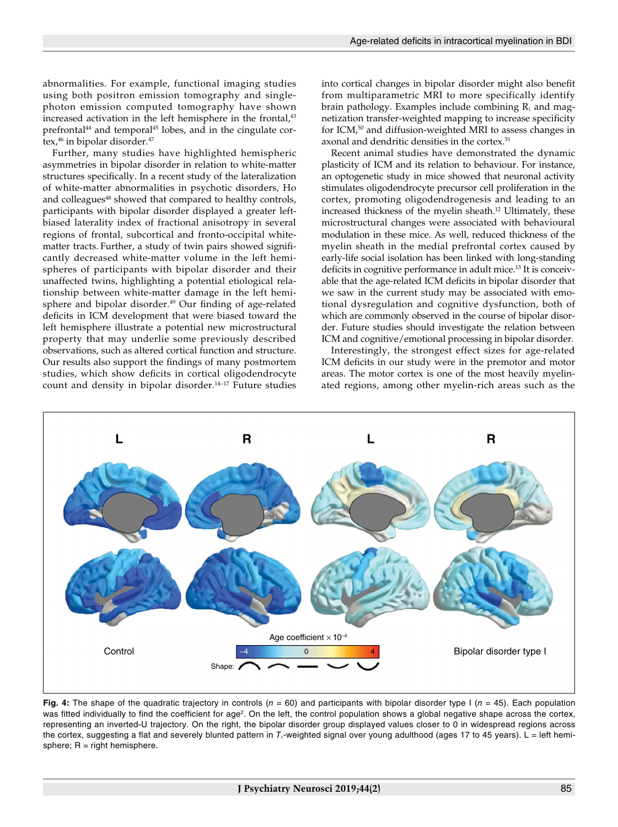abnormalities. For example, functional imaging studies using both positron emission tomography and singlephoton emission computed tomography have shown increased activation in the left hemisphere in the frontal,<sup>43</sup> prefrontal<sup>44</sup> and temporal<sup>45</sup> lobes, and in the cingulate cortex,<sup>46</sup> in bipolar disorder.<sup>47</sup>

Further, many studies have highlighted hemispheric asymmetries in bipolar disorder in relation to white-matter structures specifically. In a recent study of the lateralization of white-matter abnormalities in psychotic disorders, Ho and colleagues<sup>48</sup> showed that compared to healthy controls, participants with bipolar disorder displayed a greater leftbiased laterality index of fractional anisotropy in several regions of frontal, subcortical and fronto-occipital whitematter tracts. Further, a study of twin pairs showed significantly decreased white-matter volume in the left hemispheres of participants with bipolar disorder and their unaffected twins, highlighting a potential etiological relationship between white-matter damage in the left hemisphere and bipolar disorder.<sup>49</sup> Our finding of age-related deficits in ICM development that were biased toward the left hemisphere illustrate a potential new microstructural property that may underlie some previously described observations, such as altered cortical function and structure. Our results also support the findings of many postmortem studies, which show deficits in cortical oligodendrocyte count and density in bipolar disorder.<sup>14-17</sup> Future studies

into cortical changes in bipolar disorder might also benefit from multiparametric MRI to more specifically identify brain pathology. Examples include combining  $R_1$  and magnetization transfer-weighted mapping to increase specificity for ICM,<sup>50</sup> and diffusion-weighted MRI to assess changes in axonal and dendritic densities in the cortex.<sup>51</sup>

Recent animal studies have demonstrated the dynamic plasticity of ICM and its relation to behaviour. For instance, an optogenetic study in mice showed that neuronal activity stimulates oligodendrocyte precursor cell proliferation in the cortex, promoting oligodendrogenesis and leading to an increased thickness of the myelin sheath.12 Ultimately, these microstructural changes were associated with behavioural modulation in these mice. As well, reduced thickness of the myelin sheath in the medial prefrontal cortex caused by early-life social isolation has been linked with long-standing deficits in cognitive performance in adult mice.<sup>13</sup> It is conceivable that the age-related ICM deficits in bipolar disorder that we saw in the current study may be associated with emotional dysregulation and cognitive dysfunction, both of which are commonly observed in the course of bipolar disorder. Future studies should investigate the relation between ICM and cognitive/emotional processing in bipolar disorder.

Interestingly, the strongest effect sizes for age-related ICM deficits in our study were in the premotor and motor areas. The motor cortex is one of the most heavily myelinated regions, among other myelin-rich areas such as the



**Fig. 4:** The shape of the quadratic trajectory in controls (*n* = 60) and participants with bipolar disorder type I (*n* = 45). Each population was fitted individually to find the coefficient for age<sup>2</sup>. On the left, the control population shows a global negative shape across the cortex, representing an inverted-U trajectory. On the right, the bipolar disorder group displayed values closer to 0 in widespread regions across the cortex, suggesting a flat and severely blunted pattern in T<sub>1</sub>-weighted signal over young adulthood (ages 17 to 45 years). L = left hemisphere;  $R =$  right hemisphere.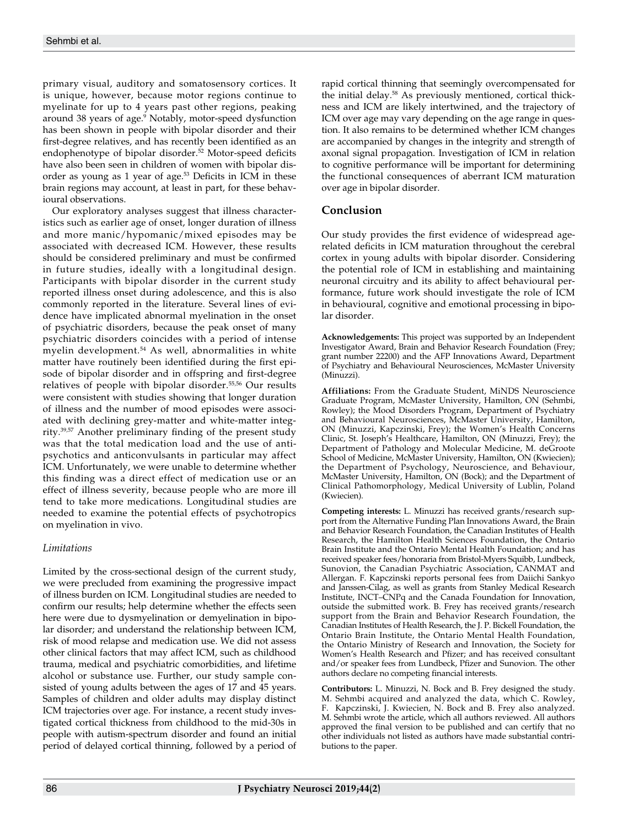primary visual, auditory and somatosensory cortices. It is unique, however, because motor regions continue to myelinate for up to 4 years past other regions, peaking around 38 years of age.<sup>9</sup> Notably, motor-speed dysfunction has been shown in people with bipolar disorder and their first-degree relatives, and has recently been identified as an endophenotype of bipolar disorder.<sup>52</sup> Motor-speed deficits have also been seen in children of women with bipolar disorder as young as 1 year of age.<sup>53</sup> Deficits in ICM in these brain regions may account, at least in part, for these behavioural observations.

Our exploratory analyses suggest that illness characteristics such as earlier age of onset, longer duration of illness and more manic/hypomanic/mixed episodes may be associated with decreased ICM. However, these results should be considered preliminary and must be confirmed in future studies, ideally with a longitudinal design. Participants with bipolar disorder in the current study reported illness onset during adolescence, and this is also commonly reported in the literature. Several lines of evidence have implicated abnormal myelination in the onset of psychiatric disorders, because the peak onset of many psychiatric disorders coincides with a period of intense myelin development.54 As well, abnormalities in white matter have routinely been identified during the first episode of bipolar disorder and in offspring and first-degree relatives of people with bipolar disorder.55,56 Our results were consistent with studies showing that longer duration of illness and the number of mood episodes were associated with declining grey-matter and white-matter integrity.39,57 Another preliminary finding of the present study was that the total medication load and the use of antipsychotics and anticonvulsants in particular may affect ICM. Unfortunately, we were unable to determine whether this finding was a direct effect of medication use or an effect of illness severity, because people who are more ill tend to take more medications. Longitudinal studies are needed to examine the potential effects of psychotropics on myelination in vivo.

# *Limitations*

Limited by the cross-sectional design of the current study, we were precluded from examining the progressive impact of illness burden on ICM. Longitudinal studies are needed to confirm our results; help determine whether the effects seen here were due to dysmyelination or demyelination in bipolar disorder; and understand the relationship between ICM, risk of mood relapse and medication use. We did not assess other clinical factors that may affect ICM, such as childhood trauma, medical and psychiatric comorbidities, and lifetime alcohol or substance use. Further, our study sample consisted of young adults between the ages of 17 and 45 years. Samples of children and older adults may display distinct ICM trajectories over age. For instance, a recent study investigated cortical thickness from childhood to the mid-30s in people with autism-spectrum disorder and found an initial period of delayed cortical thinning, followed by a period of rapid cortical thinning that seemingly overcompensated for the initial delay.<sup>58</sup> As previously mentioned, cortical thickness and ICM are likely intertwined, and the trajectory of ICM over age may vary depending on the age range in question. It also remains to be determined whether ICM changes are accompanied by changes in the integrity and strength of axonal signal propagation. Investigation of ICM in relation to cognitive performance will be important for determining the functional consequences of aberrant ICM maturation over age in bipolar disorder.

# **Conclusion**

Our study provides the first evidence of widespread agerelated deficits in ICM maturation throughout the cerebral cortex in young adults with bipolar disorder. Considering the potential role of ICM in establishing and maintaining neuronal circuitry and its ability to affect behavioural performance, future work should investigate the role of ICM in behavioural, cognitive and emotional processing in bipolar disorder.

**Acknowledgements:** This project was supported by an Independent Investigator Award, Brain and Behavior Research Foundation (Frey; grant number 22200) and the AFP Innovations Award, Department of Psychiatry and Behavioural Neurosciences, McMaster University (Minuzzi).

**Affiliations:** From the Graduate Student, MiNDS Neuroscience Graduate Program, McMaster University, Hamilton, ON (Sehmbi, Rowley); the Mood Disorders Program, Department of Psychiatry and Behavioural Neurosciences, McMaster University, Hamilton, ON (Minuzzi, Kapczinski, Frey); the Women's Health Concerns Clinic, St. Joseph's Healthcare, Hamilton, ON (Minuzzi, Frey); the Department of Pathology and Molecular Medicine, M. deGroote School of Medicine, McMaster University, Hamilton, ON (Kwiecien); the Department of Psychology, Neuroscience, and Behaviour, McMaster University, Hamilton, ON (Bock); and the Department of Clinical Pathomorphology, Medical University of Lublin, Poland (Kwiecien).

**Competing interests:** L. Minuzzi has received grants/research support from the Alternative Funding Plan Innovations Award, the Brain and Behavior Research Foundation, the Canadian Institutes of Health Research, the Hamilton Health Sciences Foundation, the Ontario Brain Institute and the Ontario Mental Health Foundation; and has received speaker fees/honoraria from Bristol-Myers Squibb, Lundbeck, Sunovion, the Canadian Psychiatric Association, CANMAT and Allergan. F. Kapczinski reports personal fees from Daiichi Sankyo and Janssen-Cilag, as well as grants from Stanley Medical Research Institute, INCT–CNPq and the Canada Foundation for Innovation, outside the submitted work. B. Frey has received grants/research support from the Brain and Behavior Research Foundation, the Canadian Institutes of Health Research, the J. P. Bickell Foundation, the Ontario Brain Institute, the Ontario Mental Health Foundation, the Ontario Ministry of Research and Innovation, the Society for Women's Health Research and Pfizer; and has received consultant and/or speaker fees from Lundbeck, Pfizer and Sunovion. The other authors declare no competing financial interests.

**Contributors:** L. Minuzzi, N. Bock and B. Frey designed the study. M. Sehmbi acquired and analyzed the data, which C. Rowley, F. Kapczinski, J. Kwiecien, N. Bock and B. Frey also analyzed. M. Sehmbi wrote the article, which all authors reviewed. All authors approved the final version to be published and can certify that no other individuals not listed as authors have made substantial contributions to the paper.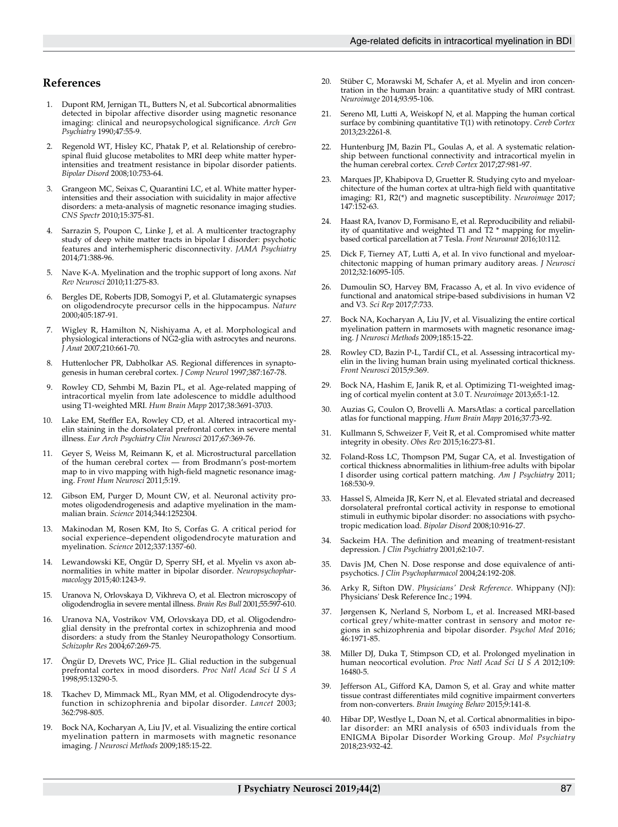## **References**

- 1. Dupont RM, Jernigan TL, Butters N, et al. Subcortical abnormalities detected in bipolar affective disorder using magnetic resonance imaging: clinical and neuropsychological significance. *Arch Gen Psychiatry* 1990;47:55-9.
- 2. Regenold WT, Hisley KC, Phatak P, et al. Relationship of cerebrospinal fluid glucose metabolites to MRI deep white matter hyperintensities and treatment resistance in bipolar disorder patients. *Bipolar Disord* 2008;10:753-64.
- 3. Grangeon MC, Seixas C, Quarantini LC, et al. White matter hyperintensities and their association with suicidality in major affective disorders: a meta-analysis of magnetic resonance imaging studies. *CNS Spectr* 2010;15:375-81.
- 4. Sarrazin S, Poupon C, Linke J, et al. A multicenter tractography study of deep white matter tracts in bipolar I disorder: psychotic features and interhemispheric disconnectivity. *JAMA Psychiatry* 2014;71:388-96.
- 5. Nave K-A. Myelination and the trophic support of long axons. *Nat Rev Neurosci* 2010;11:275-83.
- 6. Bergles DE, Roberts JDB, Somogyi P, et al. Glutamatergic synapses on oligodendrocyte precursor cells in the hippocampus. *Nature* 2000;405:187-91.
- Wigley R, Hamilton N, Nishiyama A, et al. Morphological and physiological interactions of NG2‐glia with astrocytes and neurons. *J Anat* 2007;210:661-70.
- 8. Huttenlocher PR, Dabholkar AS. Regional differences in synaptogenesis in human cerebral cortex. *J Comp Neurol* 1997;387:167-78.
- 9. Rowley CD, Sehmbi M, Bazin PL, et al. Age-related mapping of intracortical myelin from late adolescence to middle adulthood using T1‐weighted MRI. *Hum Brain Mapp* 2017;38:3691-3703.
- 10. Lake EM, Steffler EA, Rowley CD, et al. Altered intracortical myelin staining in the dorsolateral prefrontal cortex in severe mental illness. *Eur Arch Psychiatry Clin Neurosci* 2017;67:369-76.
- 11. Geyer S, Weiss M, Reimann K, et al. Microstructural parcellation of the human cerebral cortex — from Brodmann's post-mortem map to in vivo mapping with high-field magnetic resonance imaging. *Front Hum Neurosci* 2011;5:19.
- 12. Gibson EM, Purger D, Mount CW, et al. Neuronal activity promotes oligodendrogenesis and adaptive myelination in the mammalian brain. *Science* 2014;344:1252304.
- 13. Makinodan M, Rosen KM, Ito S, Corfas G. A critical period for social experience–dependent oligodendrocyte maturation and myelination. *Science* 2012;337:1357-60.
- 14. Lewandowski KE, Ongür D, Sperry SH, et al. Myelin vs axon abnormalities in white matter in bipolar disorder. *Neuropsychopharmacology* 2015;40:1243-9.
- 15. Uranova N, Orlovskaya D, Vikhreva O, et al. Electron microscopy of oligodendroglia in severe mental illness. *Brain Res Bull* 2001;55:597-610.
- 16. Uranova NA, Vostrikov VM, Orlovskaya DD, et al. Oligodendroglial density in the prefrontal cortex in schizophrenia and mood disorders: a study from the Stanley Neuropathology Consortium. *Schizophr Res* 2004;67:269-75.
- Öngür D, Drevets WC, Price JL. Glial reduction in the subgenual prefrontal cortex in mood disorders. *Proc Natl Acad Sci U S A* 1998;95:13290-5.
- 18. Tkachev D, Mimmack ML, Ryan MM, et al. Oligodendrocyte dysfunction in schizophrenia and bipolar disorder. *Lancet* 2003; 362:798-805.
- 19. Bock NA, Kocharyan A, Liu JV, et al. Visualizing the entire cortical myelination pattern in marmosets with magnetic resonance imaging. *J Neurosci Methods* 2009;185:15-22.
- 20. Stüber C, Morawski M, Schafer A, et al. Myelin and iron concentration in the human brain: a quantitative study of MRI contrast. *Neuroimage* 2014;93:95-106.
- 21. Sereno MI, Lutti A, Weiskopf N, et al. Mapping the human cortical surface by combining quantitative T(1) with retinotopy. *Cereb Cortex* 2013;23:2261-8.
- 22. Huntenburg JM, Bazin PL, Goulas A, et al. A systematic relationship between functional connectivity and intracortical myelin in the human cerebral cortex. *Cereb Cortex* 2017;27:981-97.
- 23. Marques JP, Khabipova D, Gruetter R. Studying cyto and myeloarchitecture of the human cortex at ultra-high field with quantitative imaging: R1, R2(\*) and magnetic susceptibility. *Neuroimage* 2017; 147:152-63.
- 24. Haast RA, Ivanov D, Formisano E, et al. Reproducibility and reliability of quantitative and weighted T1 and T2 \* mapping for myelinbased cortical parcellation at 7 Tesla. *Front Neuroanat* 2016;10:112.
- 25. Dick F, Tierney AT, Lutti A, et al. In vivo functional and myeloarchitectonic mapping of human primary auditory areas. *J Neurosci* 2012;32:16095-105.
- 26. Dumoulin SO, Harvey BM, Fracasso A, et al. In vivo evidence of functional and anatomical stripe-based subdivisions in human V2 and V3. *Sci Rep* 2017;7:733.
- 27. Bock NA, Kocharyan A, Liu JV, et al. Visualizing the entire cortical myelination pattern in marmosets with magnetic resonance imaging. *J Neurosci Methods* 2009;185:15-22.
- 28. Rowley CD, Bazin P-L, Tardif CL, et al. Assessing intracortical myelin in the living human brain using myelinated cortical thickness. *Front Neurosci* 2015;9:369.
- 29. Bock NA, Hashim E, Janik R, et al. Optimizing T1-weighted imaging of cortical myelin content at 3.0 T. *Neuroimage* 2013;65:1-12.
- 30. Auzias G, Coulon O, Brovelli A. MarsAtlas: a cortical parcellation atlas for functional mapping. *Hum Brain Mapp* 2016;37:73-92.
- 31. Kullmann S, Schweizer F, Veit R, et al. Compromised white matter integrity in obesity. *Obes Rev* 2015;16:273-81.
- 32. Foland-Ross LC, Thompson PM, Sugar CA, et al. Investigation of cortical thickness abnormalities in lithium-free adults with bipolar I disorder using cortical pattern matching. *Am J Psychiatry* 2011; 168:530-9.
- 33. Hassel S, Almeida JR, Kerr N, et al. Elevated striatal and decreased dorsolateral prefrontal cortical activity in response to emotional stimuli in euthymic bipolar disorder: no associations with psychotropic medication load. *Bipolar Disord* 2008;10:916-27.
- 34. Sackeim HA. The definition and meaning of treatment-resistant depression. *J Clin Psychiatry* 2001;62:10-7.
- 35. Davis JM, Chen N. Dose response and dose equivalence of antipsychotics. *J Clin Psychopharmacol* 2004;24:192-208.
- 36. Arky R, Sifton DW. *Physicians' Desk Reference*. Whippany (NJ): Physicians' Desk Reference Inc.; 1994.
- 37. Jørgensen K, Nerland S, Norbom L, et al. Increased MRI-based cortical grey/white-matter contrast in sensory and motor regions in schizophrenia and bipolar disorder. *Psychol Med* 2016; 46:1971-85.
- 38. Miller DJ, Duka T, Stimpson CD, et al. Prolonged myelination in human neocortical evolution. *Proc Natl Acad Sci U S A* 2012;109: 16480-5.
- 39. Jefferson AL, Gifford KA, Damon S, et al. Gray and white matter tissue contrast differentiates mild cognitive impairment converters from non-converters. *Brain Imaging Behav* 2015;9:141-8.
- Hibar DP, Westlye L, Doan N, et al. Cortical abnormalities in bipolar disorder: an MRI analysis of 6503 individuals from the ENIGMA Bipolar Disorder Working Group. *Mol Psychiatry* 2018;23:932-42.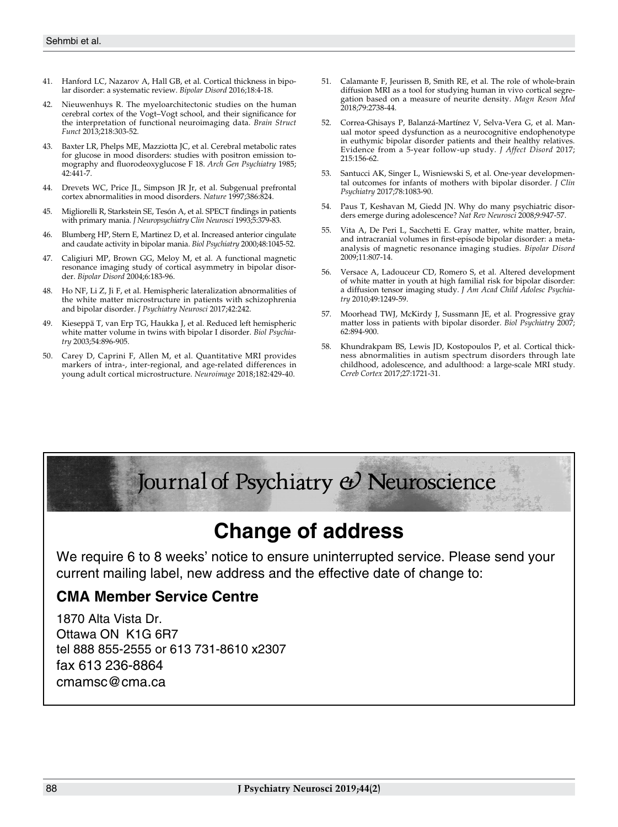- 41. Hanford LC, Nazarov A, Hall GB, et al. Cortical thickness in bipolar disorder: a systematic review. *Bipolar Disord* 2016;18:4-18.
- 42. Nieuwenhuys R. The myeloarchitectonic studies on the human cerebral cortex of the Vogt–Vogt school, and their significance for the interpretation of functional neuroimaging data. *Brain Struct Funct* 2013;218:303-52.
- 43. Baxter LR, Phelps ME, Mazziotta JC, et al. Cerebral metabolic rates for glucose in mood disorders: studies with positron emission tomography and fluorodeoxyglucose F 18. *Arch Gen Psychiatry* 1985; 42:441-7.
- 44. Drevets WC, Price JL, Simpson JR Jr, et al. Subgenual prefrontal cortex abnormalities in mood disorders. *Nature* 1997;386:824.
- 45. Migliorelli R, Starkstein SE, Tesón A, et al. SPECT findings in patients with primary mania. *J Neuropsychiatry Clin Neurosci* 1993;5:379-83.
- 46. Blumberg HP, Stern E, Martinez D, et al. Increased anterior cingulate and caudate activity in bipolar mania. *Biol Psychiatry* 2000;48:1045-52.
- 47. Caligiuri MP, Brown GG, Meloy M, et al. A functional magnetic resonance imaging study of cortical asymmetry in bipolar disorder. *Bipolar Disord* 2004;6:183-96.
- 48. Ho NF, Li Z, Ji F, et al. Hemispheric lateralization abnormalities of the white matter microstructure in patients with schizophrenia and bipolar disorder. *J Psychiatry Neurosci* 2017;42:242.
- 49. Kieseppä T, van Erp TG, Haukka J, et al. Reduced left hemispheric white matter volume in twins with bipolar I disorder. *Biol Psychiatry* 2003;54:896-905.
- 50. Carey D, Caprini F, Allen M, et al. Quantitative MRI provides markers of intra-, inter-regional, and age-related differences in young adult cortical microstructure. *Neuroimage* 2018;182:429-40.
- 51. Calamante F, Jeurissen B, Smith RE, et al. The role of whole-brain diffusion MRI as a tool for studying human in vivo cortical segregation based on a measure of neurite density. *Magn Reson Med*  2018;79:2738-44.
- 52. Correa-Ghisays P, Balanzá-Martínez V, Selva-Vera G, et al. Manual motor speed dysfunction as a neurocognitive endophenotype in euthymic bipolar disorder patients and their healthy relatives. Evidence from a 5-year follow-up study. *J Affect Disord* 2017; 215:156-62.
- 53. Santucci AK, Singer L, Wisniewski S, et al. One-year developmental outcomes for infants of mothers with bipolar disorder. *J Clin Psychiatry* 2017;78:1083-90.
- 54. Paus T, Keshavan M, Giedd JN. Why do many psychiatric disorders emerge during adolescence? *Nat Rev Neurosci* 2008;9:947-57.
- 55. Vita A, De Peri L, Sacchetti E. Gray matter, white matter, brain, and intracranial volumes in first-episode bipolar disorder: a metaanalysis of magnetic resonance imaging studies. *Bipolar Disord* 2009;11:807-14.
- 56. Versace A, Ladouceur CD, Romero S, et al. Altered development of white matter in youth at high familial risk for bipolar disorder: a diffusion tensor imaging study. *J Am Acad Child Adolesc Psychiatry* 2010;49:1249-59.
- 57. Moorhead TWJ, McKirdy J, Sussmann JE, et al. Progressive gray matter loss in patients with bipolar disorder. *Biol Psychiatry* 2007; 62:894-900.
- 58. Khundrakpam BS, Lewis JD, Kostopoulos P, et al. Cortical thickness abnormalities in autism spectrum disorders through late childhood, adolescence, and adulthood: a large-scale MRI study. *Cereb Cortex* 2017;27:1721-31.